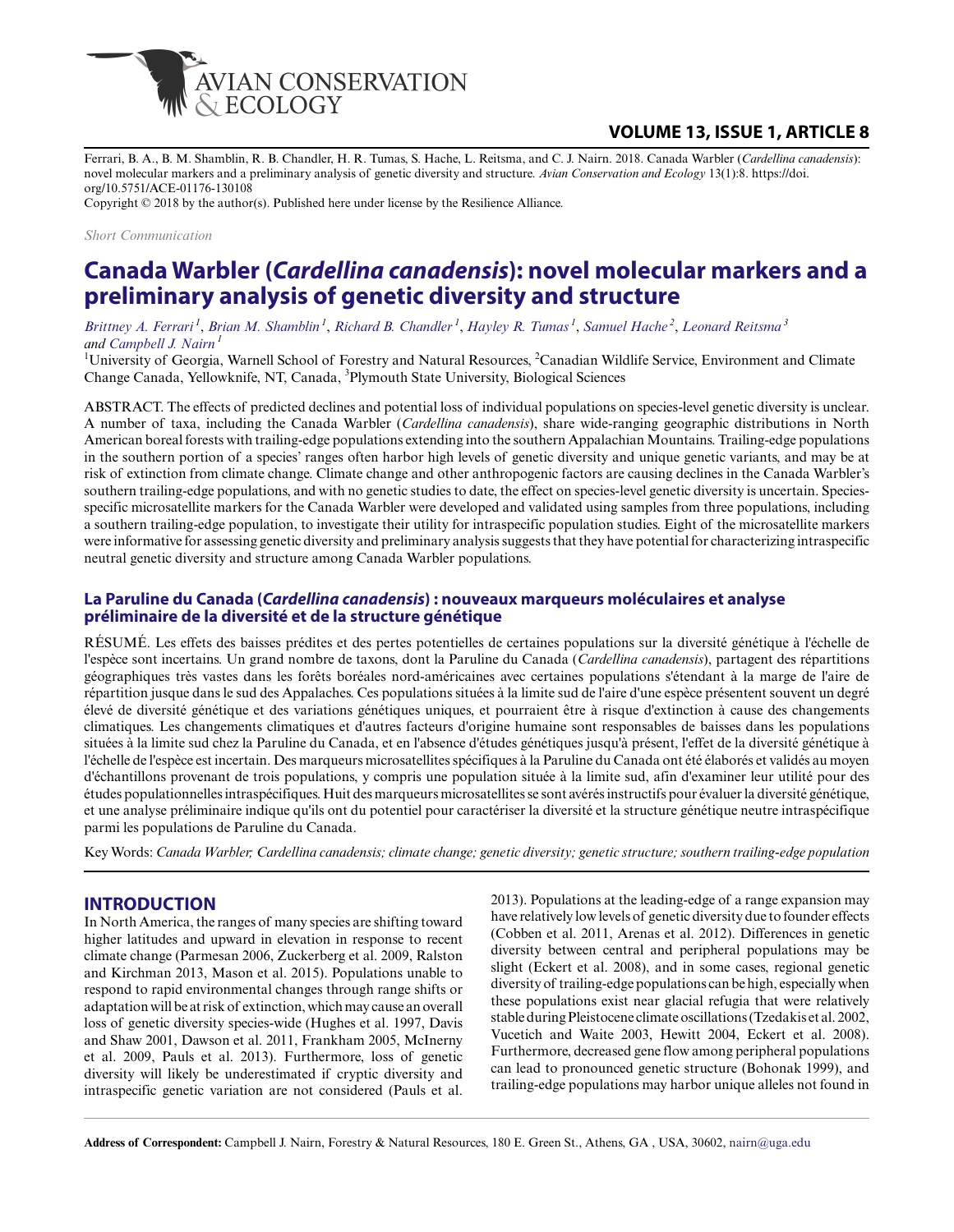

# **VOLUME 13, ISSUE 1, ARTICLE 8**

Ferrari, B. A., B. M. Shamblin, R. B. Chandler, H. R. Tumas, S. Hache, L. Reitsma, and C. J. Nairn. 2018. Canada Warbler (*Cardellina canadensis*): novel molecular markers and a preliminary analysis of genetic diversity and structure. *Avian Conservation and Ecology* 13(1):8. https://doi. org/10.5751/ACE-01176-130108

Copyright © 2018 by the author(s). Published here under license by the Resilience Alliance.

*Short Communication*

# **Canada Warbler (***Cardellina canadensis***): novel molecular markers and a preliminary analysis of genetic diversity and structure**

*[Brittney A. Ferrari](mailto:baferrari13@uga.edu)<sup>1</sup>* , *[Brian M. Shamblin](mailto:brian.shamblin@gmail.com)<sup>1</sup>* , *[Richard B. Chandler](mailto:rchandler@warnell.uga.edu)<sup>1</sup>* , *[Hayley R. Tumas](mailto:htumas@uga.edu)<sup>1</sup>* , *[Samuel Hache](mailto:Samuel.Hache@canada.ca)<sup>2</sup>* , *[Leonard Reitsma](mailto:leonr@plymouth.edu)<sup>3</sup> and [Campbell J. Nairn](mailto:nairn@uga.edu)<sup>1</sup>*

<sup>1</sup>University of Georgia, Warnell School of Forestry and Natural Resources, <sup>2</sup>Canadian Wildlife Service, Environment and Climate Change Canada, Yellowknife, NT, Canada, <sup>3</sup>Plymouth State University, Biological Sciences

ABSTRACT. The effects of predicted declines and potential loss of individual populations on species-level genetic diversity is unclear. A number of taxa, including the Canada Warbler (*Cardellina canadensis*), share wide-ranging geographic distributions in North American boreal forests with trailing-edge populations extending into the southern Appalachian Mountains. Trailing-edge populations in the southern portion of a species' ranges often harbor high levels of genetic diversity and unique genetic variants, and may be at risk of extinction from climate change. Climate change and other anthropogenic factors are causing declines in the Canada Warbler's southern trailing-edge populations, and with no genetic studies to date, the effect on species-level genetic diversity is uncertain. Speciesspecific microsatellite markers for the Canada Warbler were developed and validated using samples from three populations, including a southern trailing-edge population, to investigate their utility for intraspecific population studies. Eight of the microsatellite markers were informative for assessing genetic diversity and preliminary analysis suggests that they have potential for characterizing intraspecific neutral genetic diversity and structure among Canada Warbler populations.

### **La Paruline du Canada (***Cardellina canadensis***) : nouveaux marqueurs moléculaires et analyse préliminaire de la diversité et de la structure génétique**

RÉSUMÉ. Les effets des baisses prédites et des pertes potentielles de certaines populations sur la diversité génétique à l'échelle de l'espèce sont incertains. Un grand nombre de taxons, dont la Paruline du Canada (*Cardellina canadensis*), partagent des répartitions géographiques très vastes dans les forêts boréales nord-américaines avec certaines populations s'étendant à la marge de l'aire de répartition jusque dans le sud des Appalaches. Ces populations situées à la limite sud de l'aire d'une espèce présentent souvent un degré élevé de diversité génétique et des variations génétiques uniques, et pourraient être à risque d'extinction à cause des changements climatiques. Les changements climatiques et d'autres facteurs d'origine humaine sont responsables de baisses dans les populations situées à la limite sud chez la Paruline du Canada, et en l'absence d'études génétiques jusqu'à présent, l'effet de la diversité génétique à l'échelle de l'espèce est incertain. Des marqueurs microsatellites spécifiques à la Paruline du Canada ont été élaborés et validés au moyen d'échantillons provenant de trois populations, y compris une population située à la limite sud, afin d'examiner leur utilité pour des études populationnelles intraspécifiques. Huit des marqueurs microsatellites se sont avérés instructifs pour évaluer la diversité génétique, et une analyse préliminaire indique qu'ils ont du potentiel pour caractériser la diversité et la structure génétique neutre intraspécifique parmi les populations de Paruline du Canada.

Key Words: *Canada Warbler; Cardellina canadensis; climate change; genetic diversity; genetic structure; southern trailing-edge population*

### **INTRODUCTION**

In North America, the ranges of many species are shifting toward higher latitudes and upward in elevation in response to recent climate change (Parmesan 2006, Zuckerberg et al. 2009, Ralston and Kirchman 2013, Mason et al. 2015). Populations unable to respond to rapid environmental changes through range shifts or adaptation will be at risk of extinction, which may cause an overall loss of genetic diversity species-wide (Hughes et al. 1997, Davis and Shaw 2001, Dawson et al. 2011, Frankham 2005, McInerny et al. 2009, Pauls et al. 2013). Furthermore, loss of genetic diversity will likely be underestimated if cryptic diversity and intraspecific genetic variation are not considered (Pauls et al.

2013). Populations at the leading-edge of a range expansion may have relatively low levels of genetic diversity due to founder effects (Cobben et al. 2011, Arenas et al. 2012). Differences in genetic diversity between central and peripheral populations may be slight (Eckert et al. 2008), and in some cases, regional genetic diversity of trailing-edge populations can be high, especially when these populations exist near glacial refugia that were relatively stable during Pleistocene climate oscillations (Tzedakis et al. 2002, Vucetich and Waite 2003, Hewitt 2004, Eckert et al. 2008). Furthermore, decreased gene flow among peripheral populations can lead to pronounced genetic structure (Bohonak 1999), and trailing-edge populations may harbor unique alleles not found in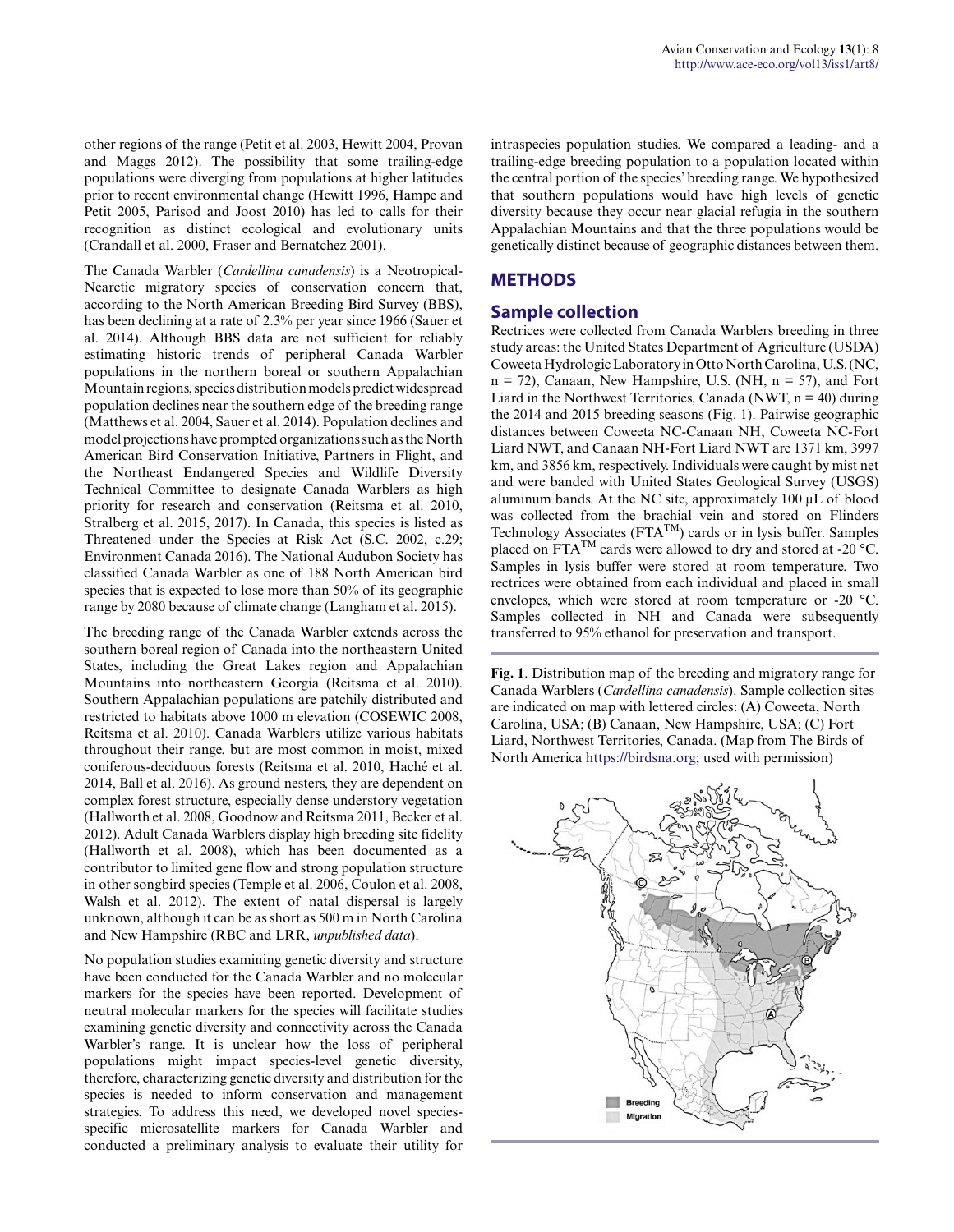other regions of the range (Petit et al. 2003, Hewitt 2004, Provan and Maggs 2012). The possibility that some trailing-edge populations were diverging from populations at higher latitudes prior to recent environmental change (Hewitt 1996, Hampe and Petit 2005, Parisod and Joost 2010) has led to calls for their recognition as distinct ecological and evolutionary units (Crandall et al. 2000, Fraser and Bernatchez 2001).

The Canada Warbler (*Cardellina canadensis*) is a Neotropical-Nearctic migratory species of conservation concern that, according to the North American Breeding Bird Survey (BBS), has been declining at a rate of 2.3% per year since 1966 (Sauer et al. 2014). Although BBS data are not sufficient for reliably estimating historic trends of peripheral Canada Warbler populations in the northern boreal or southern Appalachian Mountain regions, species distribution models predict widespread population declines near the southern edge of the breeding range (Matthews et al. 2004, Sauer et al. 2014). Population declines and model projections have prompted organizations such as the North American Bird Conservation Initiative, Partners in Flight, and the Northeast Endangered Species and Wildlife Diversity Technical Committee to designate Canada Warblers as high priority for research and conservation (Reitsma et al. 2010, Stralberg et al. 2015, 2017). In Canada, this species is listed as Threatened under the Species at Risk Act (S.C. 2002, c.29; Environment Canada 2016). The National Audubon Society has classified Canada Warbler as one of 188 North American bird species that is expected to lose more than 50% of its geographic range by 2080 because of climate change (Langham et al. 2015).

The breeding range of the Canada Warbler extends across the southern boreal region of Canada into the northeastern United States, including the Great Lakes region and Appalachian Mountains into northeastern Georgia (Reitsma et al. 2010). Southern Appalachian populations are patchily distributed and restricted to habitats above 1000 m elevation (COSEWIC 2008, Reitsma et al. 2010). Canada Warblers utilize various habitats throughout their range, but are most common in moist, mixed coniferous-deciduous forests (Reitsma et al. 2010, Haché et al. 2014, Ball et al. 2016). As ground nesters, they are dependent on complex forest structure, especially dense understory vegetation (Hallworth et al. 2008, Goodnow and Reitsma 2011, Becker et al. 2012). Adult Canada Warblers display high breeding site fidelity (Hallworth et al. 2008), which has been documented as a contributor to limited gene flow and strong population structure in other songbird species (Temple et al. 2006, Coulon et al. 2008, Walsh et al. 2012). The extent of natal dispersal is largely unknown, although it can be as short as 500 m in North Carolina and New Hampshire (RBC and LRR, *unpublished data*).

No population studies examining genetic diversity and structure have been conducted for the Canada Warbler and no molecular markers for the species have been reported. Development of neutral molecular markers for the species will facilitate studies examining genetic diversity and connectivity across the Canada Warbler's range. It is unclear how the loss of peripheral populations might impact species-level genetic diversity, therefore, characterizing genetic diversity and distribution for the species is needed to inform conservation and management strategies. To address this need, we developed novel speciesspecific microsatellite markers for Canada Warbler and conducted a preliminary analysis to evaluate their utility for intraspecies population studies. We compared a leading- and a trailing-edge breeding population to a population located within the central portion of the species' breeding range. We hypothesized that southern populations would have high levels of genetic diversity because they occur near glacial refugia in the southern Appalachian Mountains and that the three populations would be genetically distinct because of geographic distances between them.

# **METHODS**

## **Sample collection**

Rectrices were collected from Canada Warblers breeding in three study areas: the United States Department of Agriculture (USDA) Coweeta Hydrologic Laboratory in Otto North Carolina, U.S. (NC,  $n = 72$ ), Canaan, New Hampshire, U.S. (NH,  $n = 57$ ), and Fort Liard in the Northwest Territories, Canada (NWT,  $n = 40$ ) during the 2014 and 2015 breeding seasons (Fig. 1). Pairwise geographic distances between Coweeta NC-Canaan NH, Coweeta NC-Fort Liard NWT, and Canaan NH-Fort Liard NWT are 1371 km, 3997 km, and 3856 km, respectively. Individuals were caught by mist net and were banded with United States Geological Survey (USGS) aluminum bands. At the NC site, approximately 100 μL of blood was collected from the brachial vein and stored on Flinders Technology Associates ( $FTA^{TM}$ ) cards or in lysis buffer. Samples placed on  $\text{FTA}^{\text{TM}}$  cards were allowed to dry and stored at -20 °C. Samples in lysis buffer were stored at room temperature. Two rectrices were obtained from each individual and placed in small envelopes, which were stored at room temperature or -20 °C. Samples collected in NH and Canada were subsequently transferred to 95% ethanol for preservation and transport.

**Fig. 1**. Distribution map of the breeding and migratory range for Canada Warblers (*Cardellina canadensis*). Sample collection sites are indicated on map with lettered circles: (A) Coweeta, North Carolina, USA; (B) Canaan, New Hampshire, USA; (C) Fort Liard, Northwest Territories, Canada. (Map from The Birds of North America [https://birdsna.org;](https://birdsna.org) used with permission)

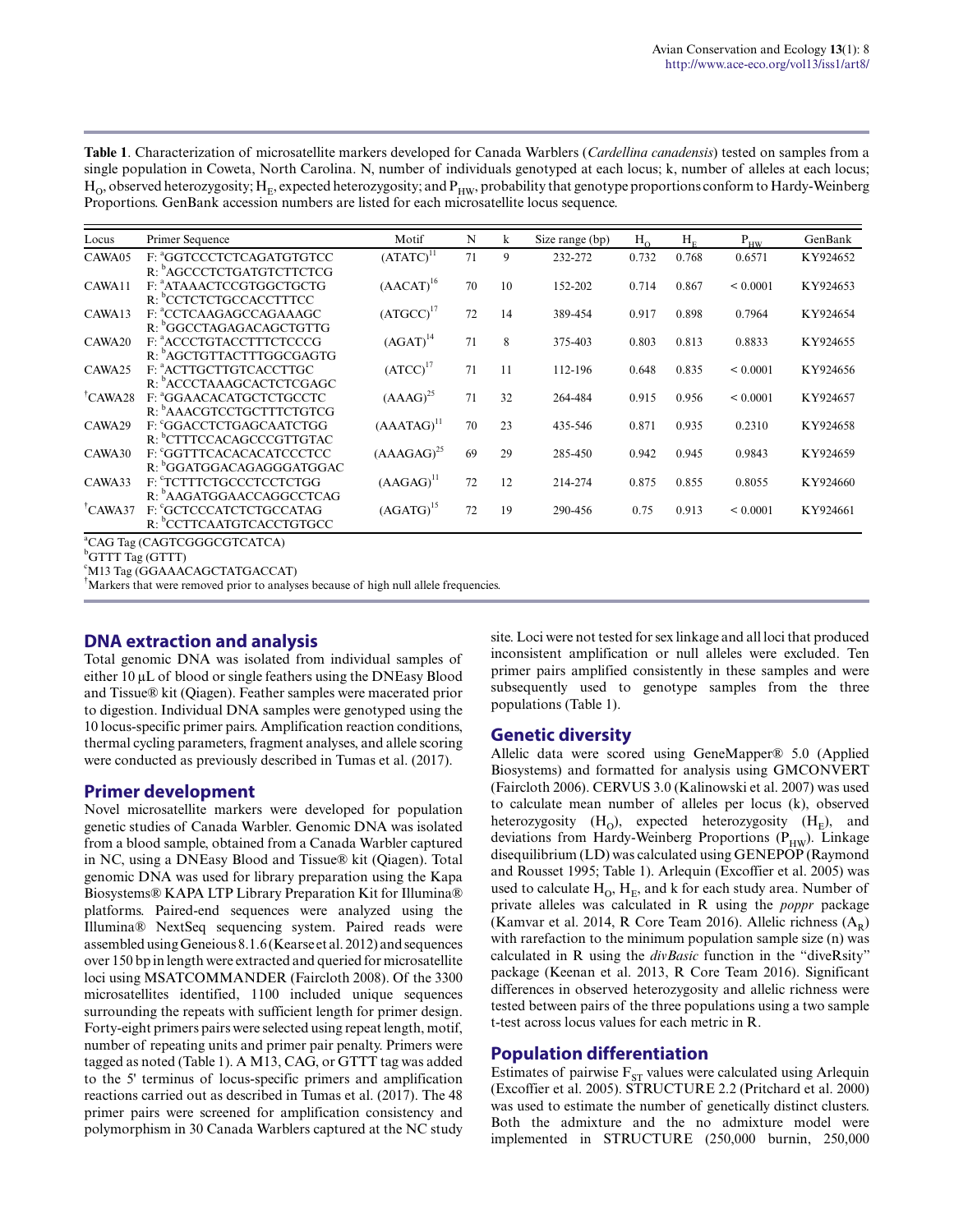**Table 1**. Characterization of microsatellite markers developed for Canada Warblers (*Cardellina canadensis*) tested on samples from a single population in Coweta, North Carolina. N, number of individuals genotyped at each locus; k, number of alleles at each locus;  $\rm{H}_\odot$ , observed heterozygosity;  $\rm{H}_E$ , expected heterozygosity; and  $\rm{P_{HW}}$ , probability that genotype proportions conform to Hardy-Weinberg Proportions. GenBank accession numbers are listed for each microsatellite locus sequence.

| Locus               | Primer Sequence                      | Motif                  | N  | k  | Size range (bp) | $H_{\alpha}$ | $H_{E}$ | $P_{\text{HW}}$ | GenBank  |
|---------------------|--------------------------------------|------------------------|----|----|-----------------|--------------|---------|-----------------|----------|
| CAWA05              | F: "GGTCCCTCTCAGATGTGTCC             | $(ATATC)^{11}$         | 71 | 9  | 232-272         | 0.732        | 0.768   | 0.6571          | KY924652 |
|                     | R: AGCCCTCTGATGTCTTCTCG              |                        |    |    |                 |              |         |                 |          |
| CAWA11              | F: "ATAAACTCCGTGGCTGCTG              | $(AACAT)^{16}$         | 70 | 10 | 152-202         | 0.714        | 0.867   | ${}_{0.0001}$   | KY924653 |
|                     | R: <sup>b</sup> CCTCTCTGCCACCTTTCC   |                        |    |    |                 |              |         |                 |          |
| CAWA13              | F: <sup>a</sup> CCTCAAGAGCCAGAAAGC   | $(ATGCC)^{17}$         | 72 | 14 | 389-454         | 0.917        | 0.898   | 0.7964          | KY924654 |
|                     | R: <sup>b</sup> GGCCTAGAGACAGCTGTTG  |                        |    |    |                 |              |         |                 |          |
| CAWA20              | F: <sup>a</sup> ACCCTGTACCTTTCTCCCG  | $(AGAT)^{14}$          | 71 | 8  | 375-403         | 0.803        | 0.813   | 0.8833          | KY924655 |
|                     | R: AGCTGTTACTTTGGCGAGTG              |                        |    |    |                 |              |         |                 |          |
| CAWA25              | F: <sup>a</sup> ACTTGCTTGTCACCTTGC   | $(ATCC)^{17}$          | 71 | 11 | 112-196         | 0.648        | 0.835   | ${}_{0.0001}$   | KY924656 |
|                     | R: <sup>b</sup> ACCCTAAAGCACTCTCGAGC |                        |    |    |                 |              |         |                 |          |
| <sup>T</sup> CAWA28 | F: "GGAACACATGCTCTGCCTC              | $(AAAG)^{25}$          | 71 | 32 | 264-484         | 0.915        | 0.956   | ${}_{0.0001}$   | KY924657 |
|                     | R: <sup>b</sup> AAACGTCCTGCTTTCTGTCG |                        |    |    |                 |              |         |                 |          |
| CAWA29              | F: "GGACCTCTGAGCAATCTGG              | $(AAATAG)^{11}$        | 70 | 23 | 435-546         | 0.871        | 0.935   | 0.2310          | KY924658 |
|                     | R: <sup>P</sup> CTTTCCACAGCCCGTTGTAC |                        |    |    |                 |              |         |                 |          |
| CAWA30              | F: "GGTTTCACACACATCCCTCC             | (AAAGAG) <sup>25</sup> | 69 | 29 | 285-450         | 0.942        | 0.945   | 0.9843          | KY924659 |
|                     | R: <sup>b</sup> GGATGGACAGAGGGATGGAC |                        |    |    |                 |              |         |                 |          |
| CAWA33              | F: "TCTTTCTGCCCTCCTCTGG              | $(AAGAG)^{11}$         | 72 | 12 | 214-274         | 0.875        | 0.855   | 0.8055          | KY924660 |
|                     | R: AAGATGGAACCAGGCCTCAG              |                        |    |    |                 |              |         |                 |          |
| <sup>T</sup> CAWA37 | F: "GCTCCCATCTCTGCCATAG              | $(AGATG)^{15}$         | 72 | 19 | 290-456         | 0.75         | 0.913   | ${}_{0.0001}$   | KY924661 |
|                     | R: <sup>"</sup> CCTTCAATGTCACCTGTGCC |                        |    |    |                 |              |         |                 |          |

CAG Tag (CAGTCGGGCGTCATCA)

<sup>b</sup>GTTT Tag (GTTT)

<sup>c</sup>M13 Tag (GGAAACAGCTATGACCAT)

 $^{\dagger}$ Markers that were removed prior to analyses because of high null allele frequencies.

### **DNA extraction and analysis**

Total genomic DNA was isolated from individual samples of either 10 μL of blood or single feathers using the DNEasy Blood and Tissue® kit (Qiagen). Feather samples were macerated prior to digestion. Individual DNA samples were genotyped using the 10 locus-specific primer pairs. Amplification reaction conditions, thermal cycling parameters, fragment analyses, and allele scoring were conducted as previously described in Tumas et al. (2017).

#### **Primer development**

Novel microsatellite markers were developed for population genetic studies of Canada Warbler. Genomic DNA was isolated from a blood sample, obtained from a Canada Warbler captured in NC, using a DNEasy Blood and Tissue® kit (Qiagen). Total genomic DNA was used for library preparation using the Kapa Biosystems® KAPA LTP Library Preparation Kit for Illumina® platforms. Paired-end sequences were analyzed using the Illumina® NextSeq sequencing system. Paired reads were assembled using Geneious 8.1.6 (Kearse et al. 2012) and sequences over 150 bp in length were extracted and queried for microsatellite loci using MSATCOMMANDER (Faircloth 2008). Of the 3300 microsatellites identified, 1100 included unique sequences surrounding the repeats with sufficient length for primer design. Forty-eight primers pairs were selected using repeat length, motif, number of repeating units and primer pair penalty. Primers were tagged as noted (Table 1). A M13, CAG, or GTTT tag was added to the 5' terminus of locus-specific primers and amplification reactions carried out as described in Tumas et al. (2017). The 48 primer pairs were screened for amplification consistency and polymorphism in 30 Canada Warblers captured at the NC study site. Loci were not tested for sex linkage and all loci that produced inconsistent amplification or null alleles were excluded. Ten primer pairs amplified consistently in these samples and were subsequently used to genotype samples from the three populations (Table 1).

#### **Genetic diversity**

Allelic data were scored using GeneMapper® 5.0 (Applied Biosystems) and formatted for analysis using GMCONVERT (Faircloth 2006). CERVUS 3.0 (Kalinowski et al. 2007) was used to calculate mean number of alleles per locus (k), observed heterozygosity  $(H_0)$ , expected heterozygosity  $(H_E)$ , and deviations from Hardy-Weinberg Proportions (P<sub>HW</sub>). Linkage disequilibrium (LD) was calculated using GENEPOP (Raymond and Rousset 1995; Table 1). Arlequin (Excoffier et al. 2005) was used to calculate  $\mathrm{H_{O}}, \mathrm{H_{E}},$  and k for each study area. Number of private alleles was calculated in R using the *poppr* package (Kamvar et al. 2014, R Core Team 2016). Allelic richness  $(A_R)$ with rarefaction to the minimum population sample size (n) was calculated in R using the *divBasic* function in the "diveRsity" package (Keenan et al. 2013, R Core Team 2016). Significant differences in observed heterozygosity and allelic richness were tested between pairs of the three populations using a two sample t-test across locus values for each metric in R.

### **Population differentiation**

Estimates of pairwise  $F_{ST}$  values were calculated using Arlequin (Excoffier et al. 2005). STRUCTURE 2.2 (Pritchard et al. 2000) was used to estimate the number of genetically distinct clusters. Both the admixture and the no admixture model were implemented in STRUCTURE (250,000 burnin, 250,000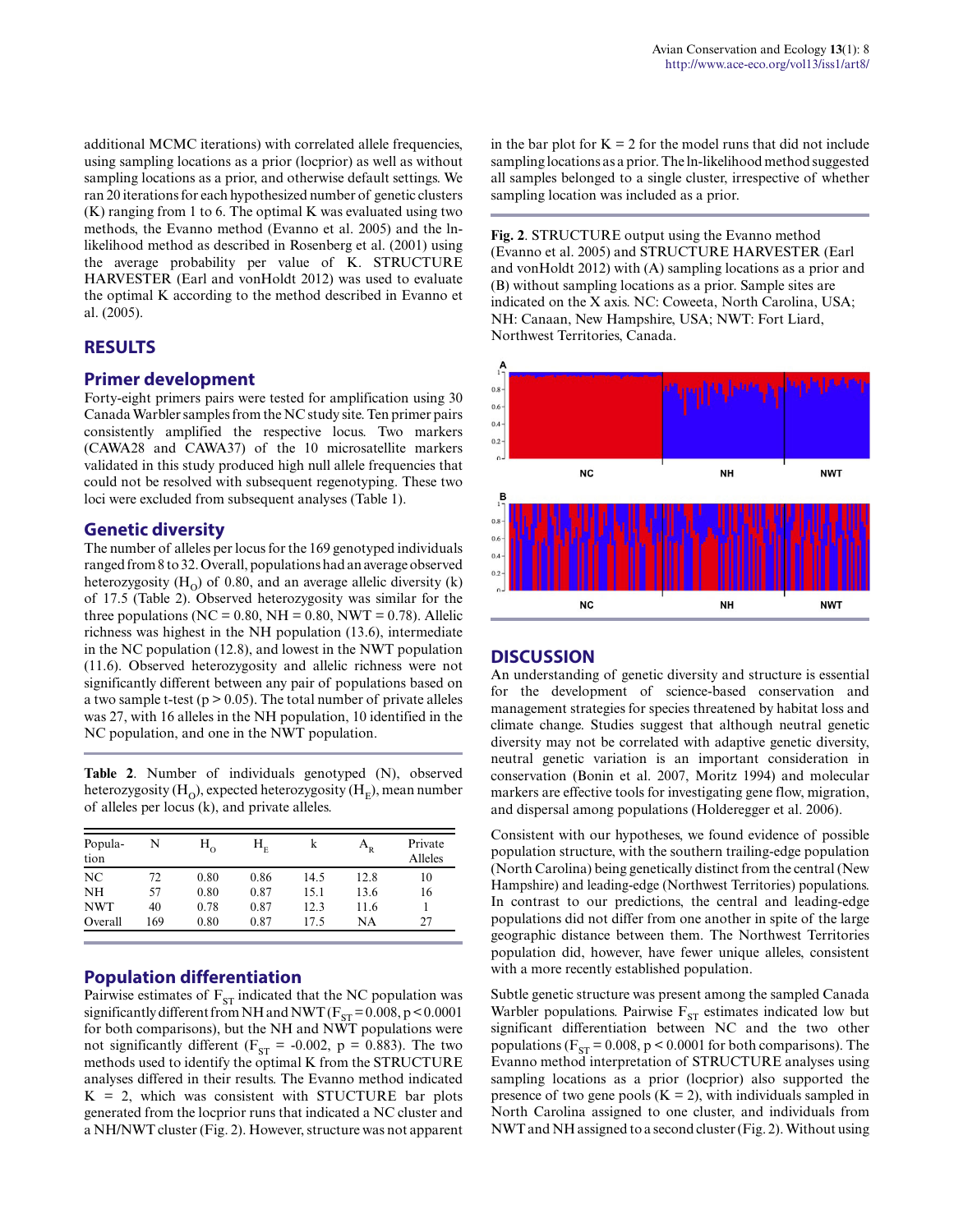additional MCMC iterations) with correlated allele frequencies, using sampling locations as a prior (locprior) as well as without sampling locations as a prior, and otherwise default settings. We ran 20 iterations for each hypothesized number of genetic clusters (K) ranging from 1 to 6. The optimal K was evaluated using two methods, the Evanno method (Evanno et al. 2005) and the lnlikelihood method as described in Rosenberg et al. (2001) using the average probability per value of K. STRUCTURE HARVESTER (Earl and vonHoldt 2012) was used to evaluate the optimal K according to the method described in Evanno et al. (2005).

## **RESULTS**

### **Primer development**

Forty-eight primers pairs were tested for amplification using 30 Canada Warbler samples from the NC study site. Ten primer pairs consistently amplified the respective locus. Two markers (CAWA28 and CAWA37) of the 10 microsatellite markers validated in this study produced high null allele frequencies that could not be resolved with subsequent regenotyping. These two loci were excluded from subsequent analyses (Table 1).

#### **Genetic diversity**

The number of alleles per locus for the 169 genotyped individuals ranged from 8 to 32. Overall, populations had an average observed heterozygosity  $(H<sub>o</sub>)$  of 0.80, and an average allelic diversity (k) of 17.5 (Table 2). Observed heterozygosity was similar for the three populations (NC =  $0.80$ , NH =  $0.80$ , NWT =  $0.78$ ). Allelic richness was highest in the NH population (13.6), intermediate in the NC population (12.8), and lowest in the NWT population (11.6). Observed heterozygosity and allelic richness were not significantly different between any pair of populations based on a two sample t-test ( $p > 0.05$ ). The total number of private alleles was 27, with 16 alleles in the NH population, 10 identified in the NC population, and one in the NWT population.

**Table 2**. Number of individuals genotyped (N), observed heterozygosity (H<sub>0</sub>), expected heterozygosity (H<sub>E</sub>), mean number of alleles per locus (k), and private alleles.

| Popula-<br>tion | N   | $H^{\alpha}$ | $H_E$ | k    | $A_{\rm R}$ | Private<br>Alleles |
|-----------------|-----|--------------|-------|------|-------------|--------------------|
| NC              | 72  | 0.80         | 0.86  | 14.5 | 12.8        | 10                 |
| <b>NH</b>       | 57  | 0.80         | 0.87  | 15.1 | 13.6        | 16                 |
| <b>NWT</b>      | 40  | 0.78         | 0.87  | 12.3 | 11.6        |                    |
| Overall         | 169 | 0.80         | 0.87  | 17.5 | NA          | 27                 |

### **Population differentiation**

Pairwise estimates of  $F_{ST}$  indicated that the NC population was significantly different from NH and NWT ( $F_{ST} = 0.008$ , p < 0.0001 for both comparisons), but the NH and NWT populations were not significantly different ( $F_{ST}$  = -0.002, p = 0.883). The two methods used to identify the optimal K from the STRUCTURE analyses differed in their results. The Evanno method indicated  $K = 2$ , which was consistent with STUCTURE bar plots generated from the locprior runs that indicated a NC cluster and a NH/NWT cluster (Fig. 2). However, structure was not apparent in the bar plot for  $K = 2$  for the model runs that did not include sampling locations as a prior. The ln-likelihood method suggested all samples belonged to a single cluster, irrespective of whether sampling location was included as a prior.

**Fig. 2**. STRUCTURE output using the Evanno method (Evanno et al. 2005) and STRUCTURE HARVESTER (Earl and vonHoldt 2012) with (A) sampling locations as a prior and (B) without sampling locations as a prior. Sample sites are indicated on the X axis. NC: Coweeta, North Carolina, USA; NH: Canaan, New Hampshire, USA; NWT: Fort Liard, Northwest Territories, Canada.



### **DISCUSSION**

An understanding of genetic diversity and structure is essential for the development of science-based conservation and management strategies for species threatened by habitat loss and climate change. Studies suggest that although neutral genetic diversity may not be correlated with adaptive genetic diversity, neutral genetic variation is an important consideration in conservation (Bonin et al. 2007, Moritz 1994) and molecular markers are effective tools for investigating gene flow, migration, and dispersal among populations (Holderegger et al. 2006).

Consistent with our hypotheses, we found evidence of possible population structure, with the southern trailing-edge population (North Carolina) being genetically distinct from the central (New Hampshire) and leading-edge (Northwest Territories) populations. In contrast to our predictions, the central and leading-edge populations did not differ from one another in spite of the large geographic distance between them. The Northwest Territories population did, however, have fewer unique alleles, consistent with a more recently established population.

Subtle genetic structure was present among the sampled Canada Warbler populations. Pairwise  $F_{ST}$  estimates indicated low but significant differentiation between NC and the two other populations ( $F_{ST}$  = 0.008, p < 0.0001 for both comparisons). The Evanno method interpretation of STRUCTURE analyses using sampling locations as a prior (locprior) also supported the presence of two gene pools  $(K = 2)$ , with individuals sampled in North Carolina assigned to one cluster, and individuals from NWT and NH assigned to a second cluster (Fig. 2). Without using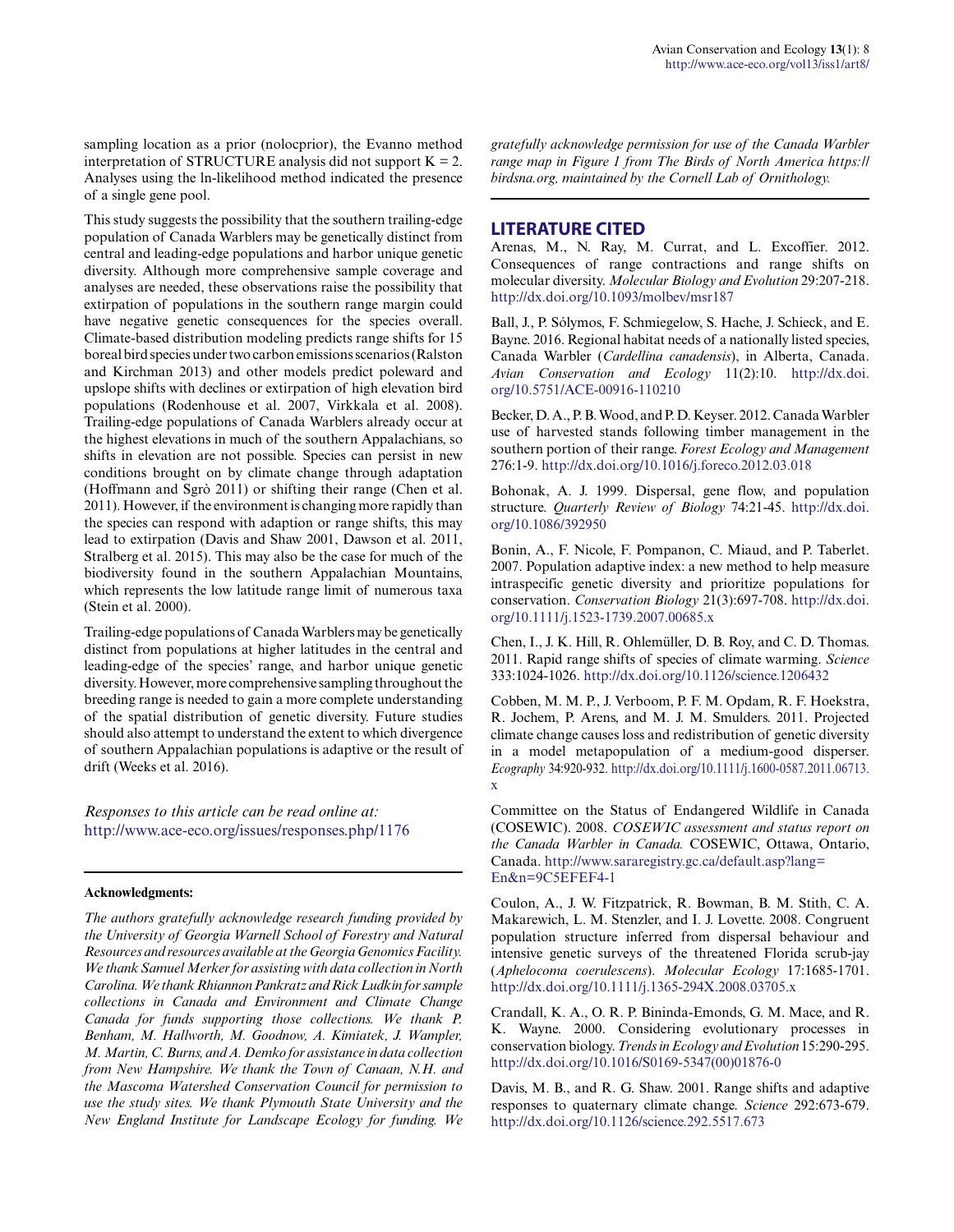sampling location as a prior (nolocprior), the Evanno method interpretation of STRUCTURE analysis did not support  $K = 2$ . Analyses using the ln-likelihood method indicated the presence of a single gene pool.

This study suggests the possibility that the southern trailing-edge population of Canada Warblers may be genetically distinct from central and leading-edge populations and harbor unique genetic diversity. Although more comprehensive sample coverage and analyses are needed, these observations raise the possibility that extirpation of populations in the southern range margin could have negative genetic consequences for the species overall. Climate-based distribution modeling predicts range shifts for 15 boreal bird species under two carbon emissions scenarios (Ralston and Kirchman 2013) and other models predict poleward and upslope shifts with declines or extirpation of high elevation bird populations (Rodenhouse et al. 2007, Virkkala et al. 2008). Trailing-edge populations of Canada Warblers already occur at the highest elevations in much of the southern Appalachians, so shifts in elevation are not possible. Species can persist in new conditions brought on by climate change through adaptation (Hoffmann and Sgrò 2011) or shifting their range (Chen et al. 2011). However, if the environment is changing more rapidly than the species can respond with adaption or range shifts, this may lead to extirpation (Davis and Shaw 2001, Dawson et al. 2011, Stralberg et al. 2015). This may also be the case for much of the biodiversity found in the southern Appalachian Mountains, which represents the low latitude range limit of numerous taxa (Stein et al. 2000).

Trailing-edge populations of Canada Warblers may be genetically distinct from populations at higher latitudes in the central and leading-edge of the species' range, and harbor unique genetic diversity. However, more comprehensive sampling throughout the breeding range is needed to gain a more complete understanding of the spatial distribution of genetic diversity. Future studies should also attempt to understand the extent to which divergence of southern Appalachian populations is adaptive or the result of drift (Weeks et al. 2016).

*Responses to this article can be read online at:* <http://www.ace-eco.org/issues/responses.php/1176>

#### **Acknowledgments:**

*The authors gratefully acknowledge research funding provided by the University of Georgia Warnell School of Forestry and Natural Resources and resources available at the Georgia Genomics Facility. We thank Samuel Merker for assisting with data collection in North Carolina. We thank Rhiannon Pankratz and Rick Ludkin for sample collections in Canada and Environment and Climate Change Canada for funds supporting those collections. We thank P. Benham, M. Hallworth, M. Goodnow, A. Kimiatek, J. Wampler, M. Martin, C. Burns, and A. Demko for assistance in data collection from New Hampshire. We thank the Town of Canaan, N.H. and the Mascoma Watershed Conservation Council for permission to use the study sites. We thank Plymouth State University and the New England Institute for Landscape Ecology for funding. We*

*gratefully acknowledge permission for use of the Canada Warbler range map in Figure 1 from The Birds of North America https:// birdsna.org, maintained by the Cornell Lab of Ornithology.*

#### **LITERATURE CITED**

Arenas, M., N. Ray, M. Currat, and L. Excoffier. 2012. Consequences of range contractions and range shifts on molecular diversity. *Molecular Biology and Evolution* 29:207-218. [http://dx.doi.org/10.1093/molbev/msr187](http://dx.doi.org/10.1093%2Fmolbev%2Fmsr187) 

Ball, J., P. Sólymos, F. Schmiegelow, S. Hache, J. Schieck, and E. Bayne. 2016. Regional habitat needs of a nationally listed species, Canada Warbler (*Cardellina canadensis*), in Alberta, Canada. *Avian Conservation and Ecology* 11(2):10. [http://dx.doi.](http://dx.doi.org/10.5751%2FACE-00916-110210) [org/10.5751/ACE-00916-110210](http://dx.doi.org/10.5751%2FACE-00916-110210) 

Becker, D. A., P. B. Wood, and P. D. Keyser. 2012. Canada Warbler use of harvested stands following timber management in the southern portion of their range. *Forest Ecology and Management* 276:1-9. [http://dx.doi.org/10.1016/j.foreco.2012.03.018](http://dx.doi.org/10.1016%2Fj.foreco.2012.03.018)

Bohonak, A. J. 1999. Dispersal, gene flow, and population structure. *Quarterly Review of Biology* 74:21-45. [http://dx.doi.](http://dx.doi.org/10.1086%2F392950) [org/10.1086/392950](http://dx.doi.org/10.1086%2F392950)

Bonin, A., F. Nicole, F. Pompanon, C. Miaud, and P. Taberlet. 2007. Population adaptive index: a new method to help measure intraspecific genetic diversity and prioritize populations for conservation. *Conservation Biology* 21(3):697-708. [http://dx.doi.](http://dx.doi.org/10.1111%2Fj.1523-1739.2007.00685.x) [org/10.1111/j.1523-1739.2007.00685.x](http://dx.doi.org/10.1111%2Fj.1523-1739.2007.00685.x)

Chen, I., J. K. Hill, R. Ohlemüller, D. B. Roy, and C. D. Thomas. 2011. Rapid range shifts of species of climate warming. *Science* 333:1024-1026. [http://dx.doi.org/10.1126/science.1206432](http://dx.doi.org/10.1126%2Fscience.1206432)

Cobben, M. M. P., J. Verboom, P. F. M. Opdam, R. F. Hoekstra, R. Jochem, P. Arens, and M. J. M. Smulders. 2011. Projected climate change causes loss and redistribution of genetic diversity in a model metapopulation of a medium-good disperser. *Ecography* 34:920-932. [http://dx.doi.org/10.1111/j.1600-0587.2011.06713.](http://dx.doi.org/10.1111%2Fj.1600-0587.2011.06713.x) [x](http://dx.doi.org/10.1111%2Fj.1600-0587.2011.06713.x) 

Committee on the Status of Endangered Wildlife in Canada (COSEWIC). 2008. *COSEWIC assessment and status report on the Canada Warbler in Canada.* COSEWIC, Ottawa, Ontario, Canada. [http://www.sararegistry.gc.ca/default.asp?lang=](http://www.sararegistry.gc.ca/default.asp?lang=En&n=9C5EFEF4-1) [En&n=9C5EFEF4-1](http://www.sararegistry.gc.ca/default.asp?lang=En&n=9C5EFEF4-1)

Coulon, A., J. W. Fitzpatrick, R. Bowman, B. M. Stith, C. A. Makarewich, L. M. Stenzler, and I. J. Lovette. 2008. Congruent population structure inferred from dispersal behaviour and intensive genetic surveys of the threatened Florida scrub-jay (*Aphelocoma coerulescens*). *Molecular Ecology* 17:1685-1701. [http://dx.doi.org/10.1111/j.1365-294X.2008.03705.x](http://dx.doi.org/10.1111%2Fj.1365-294X.2008.03705.x) 

Crandall, K. A., O. R. P. Bininda-Emonds, G. M. Mace, and R. K. Wayne. 2000. Considering evolutionary processes in conservation biology. *Trends in Ecology and Evolution* 15:290-295. [http://dx.doi.org/10.1016/S0169-5347\(00\)01876-0](http://dx.doi.org/10.1016%2FS0169-5347%2800%2901876-0)

Davis, M. B., and R. G. Shaw. 2001. Range shifts and adaptive responses to quaternary climate change. *Science* 292:673-679. [http://dx.doi.org/10.1126/science.292.5517.673](http://dx.doi.org/10.1126%2Fscience.292.5517.673)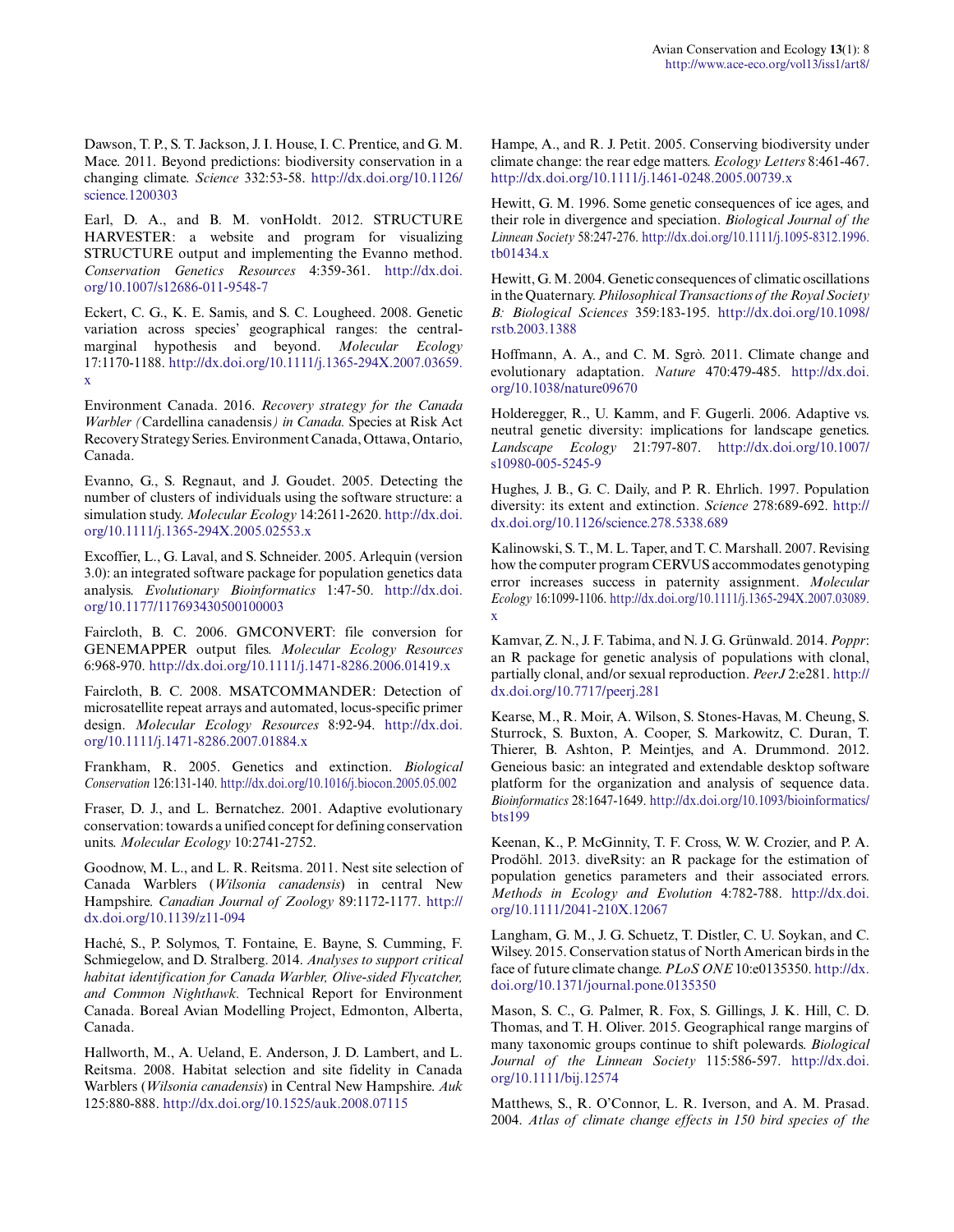Dawson, T. P., S. T. Jackson, J. I. House, I. C. Prentice, and G. M. Mace. 2011. Beyond predictions: biodiversity conservation in a changing climate. *Science* 332:53-58. [http://dx.doi.org/10.1126/](http://dx.doi.org/10.1126%2Fscience.1200303) [science.1200303](http://dx.doi.org/10.1126%2Fscience.1200303)

Earl, D. A., and B. M. vonHoldt. 2012. STRUCTURE HARVESTER: a website and program for visualizing STRUCTURE output and implementing the Evanno method. *Conservation Genetics Resources* 4:359-361. [http://dx.doi.](http://dx.doi.org/10.1007%2Fs12686-011-9548-7) [org/10.1007/s12686-011-9548-7](http://dx.doi.org/10.1007%2Fs12686-011-9548-7)

Eckert, C. G., K. E. Samis, and S. C. Lougheed. 2008. Genetic variation across species' geographical ranges: the centralmarginal hypothesis and beyond. *Molecular Ecology* 17:1170-1188. [http://dx.doi.org/10.1111/j.1365-294X.2007.03659.](http://dx.doi.org/10.1111%2Fj.1365-294X.2007.03659.x) [x](http://dx.doi.org/10.1111%2Fj.1365-294X.2007.03659.x)

Environment Canada. 2016. *Recovery strategy for the Canada Warbler (*Cardellina canadensis*) in Canada.* Species at Risk Act Recovery Strategy Series. Environment Canada, Ottawa, Ontario, Canada.

Evanno, G., S. Regnaut, and J. Goudet. 2005. Detecting the number of clusters of individuals using the software structure: a simulation study. *Molecular Ecology* 14:2611-2620. [http://dx.doi.](http://dx.doi.org/10.1111%2Fj.1365-294X.2005.02553.x) [org/10.1111/j.1365-294X.2005.02553.x](http://dx.doi.org/10.1111%2Fj.1365-294X.2005.02553.x) 

Excoffier, L., G. Laval, and S. Schneider. 2005. Arlequin (version 3.0): an integrated software package for population genetics data analysis. *Evolutionary Bioinformatics* 1:47-50. [http://dx.doi.](http://dx.doi.org/10.1177%2F117693430500100003) [org/10.1177/117693430500100003](http://dx.doi.org/10.1177%2F117693430500100003)

Faircloth, B. C. 2006. GMCONVERT: file conversion for GENEMAPPER output files. *Molecular Ecology Resources* 6:968-970. [http://dx.doi.org/10.1111/j.1471-8286.2006.01419.x](http://dx.doi.org/10.1111%2Fj.1471-8286.2006.01419.x)

Faircloth, B. C. 2008. MSATCOMMANDER: Detection of microsatellite repeat arrays and automated, locus-specific primer design. *Molecular Ecology Resources* 8:92-94. [http://dx.doi.](http://dx.doi.org/10.1111%2Fj.1471-8286.2007.01884.x) [org/10.1111/j.1471-8286.2007.01884.x](http://dx.doi.org/10.1111%2Fj.1471-8286.2007.01884.x)

Frankham, R. 2005. Genetics and extinction. *Biological Conservation* 126:131-140. [http://dx.doi.org/10.1016/j.biocon.2005.05.002](http://dx.doi.org/10.1016%2Fj.biocon.2005.05.002)

Fraser, D. J., and L. Bernatchez. 2001. Adaptive evolutionary conservation: towards a unified concept for defining conservation units. *Molecular Ecology* 10:2741-2752.

Goodnow, M. L., and L. R. Reitsma. 2011. Nest site selection of Canada Warblers (*Wilsonia canadensis*) in central New Hampshire. *Canadian Journal of Zoology* 89:1172-1177. [http://](http://dx.doi.org/10.1139%2Fz11-094) [dx.doi.org/10.1139/z11-094](http://dx.doi.org/10.1139%2Fz11-094)

Haché, S., P. Solymos, T. Fontaine, E. Bayne, S. Cumming, F. Schmiegelow, and D. Stralberg. 2014. *Analyses to support critical habitat identification for Canada Warbler, Olive-sided Flycatcher, and Common Nighthawk.* Technical Report for Environment Canada. Boreal Avian Modelling Project, Edmonton, Alberta, Canada.

Hallworth, M., A. Ueland, E. Anderson, J. D. Lambert, and L. Reitsma. 2008. Habitat selection and site fidelity in Canada Warblers (*Wilsonia canadensis*) in Central New Hampshire. *Auk* 125:880-888. [http://dx.doi.org/10.1525/auk.2008.07115](http://dx.doi.org/10.1525%2Fauk.2008.07115) 

Hampe, A., and R. J. Petit. 2005. Conserving biodiversity under climate change: the rear edge matters. *Ecology Letters* 8:461-467. [http://dx.doi.org/10.1111/j.1461-0248.2005.00739.x](http://dx.doi.org/10.1111%2Fj.1461-0248.2005.00739.x) 

Hewitt, G. M. 1996. Some genetic consequences of ice ages, and their role in divergence and speciation. *Biological Journal of the Linnean Society* 58:247-276. [http://dx.doi.org/10.1111/j.1095-8312.1996.](http://dx.doi.org/10.1111%2Fj.1095-8312.1996.tb01434.x) [tb01434.x](http://dx.doi.org/10.1111%2Fj.1095-8312.1996.tb01434.x)

Hewitt, G. M. 2004. Genetic consequences of climatic oscillations in the Quaternary. *Philosophical Transactions of the Royal Society B: Biological Sciences* 359:183-195. [http://dx.doi.org/10.1098/](http://dx.doi.org/10.1098%2Frstb.2003.1388) [rstb.2003.1388](http://dx.doi.org/10.1098%2Frstb.2003.1388)

Hoffmann, A. A., and C. M. Sgrò. 2011. Climate change and evolutionary adaptation. *Nature* 470:479-485. [http://dx.doi.](http://dx.doi.org/10.1038%2Fnature09670) [org/10.1038/nature09670](http://dx.doi.org/10.1038%2Fnature09670)

Holderegger, R., U. Kamm, and F. Gugerli. 2006. Adaptive vs. neutral genetic diversity: implications for landscape genetics. *Landscape Ecology* 21:797-807. [http://dx.doi.org/10.1007/](http://dx.doi.org/10.1007%2Fs10980-005-5245-9) [s10980-005-5245-9](http://dx.doi.org/10.1007%2Fs10980-005-5245-9) 

Hughes, J. B., G. C. Daily, and P. R. Ehrlich. 1997. Population diversity: its extent and extinction. *Science* 278:689-692. [http://](http://dx.doi.org/10.1126%2Fscience.278.5338.689) [dx.doi.org/10.1126/science.278.5338.689](http://dx.doi.org/10.1126%2Fscience.278.5338.689)

Kalinowski, S. T., M. L. Taper, and T. C. Marshall. 2007. Revising how the computer program CERVUS accommodates genotyping error increases success in paternity assignment. *Molecular Ecology* 16:1099-1106. [http://dx.doi.org/10.1111/j.1365-294X.2007.03089.](http://dx.doi.org/10.1111%2Fj.1365-294X.2007.03089.x) [x](http://dx.doi.org/10.1111%2Fj.1365-294X.2007.03089.x) 

Kamvar, Z. N., J. F. Tabima, and N. J. G. Grünwald. 2014. *Poppr*: an R package for genetic analysis of populations with clonal, partially clonal, and/or sexual reproduction. *PeerJ* 2:e281. [http://](http://dx.doi.org/10.7717%2Fpeerj.281) [dx.doi.org/10.7717/peerj.281](http://dx.doi.org/10.7717%2Fpeerj.281) 

Kearse, M., R. Moir, A. Wilson, S. Stones-Havas, M. Cheung, S. Sturrock, S. Buxton, A. Cooper, S. Markowitz, C. Duran, T. Thierer, B. Ashton, P. Meintjes, and A. Drummond. 2012. Geneious basic: an integrated and extendable desktop software platform for the organization and analysis of sequence data. *Bioinformatics* 28:1647-1649. [http://dx.doi.org/10.1093/bioinformatics/](http://dx.doi.org/10.1093%2Fbioinformatics%2Fbts199) [bts199](http://dx.doi.org/10.1093%2Fbioinformatics%2Fbts199) 

Keenan, K., P. McGinnity, T. F. Cross, W. W. Crozier, and P. A. Prodöhl. 2013. diveRsity: an R package for the estimation of population genetics parameters and their associated errors. *Methods in Ecology and Evolution* 4:782-788. [http://dx.doi.](http://dx.doi.org/10.1111%2F2041-210X.12067) [org/10.1111/2041-210X.12067](http://dx.doi.org/10.1111%2F2041-210X.12067) 

Langham, G. M., J. G. Schuetz, T. Distler, C. U. Soykan, and C. Wilsey. 2015. Conservation status of North American birds in the face of future climate change. *PLoS ONE* 10:e0135350. [http://dx.](http://dx.doi.org/10.1371%2Fjournal.pone.0135350) [doi.org/10.1371/journal.pone.0135350](http://dx.doi.org/10.1371%2Fjournal.pone.0135350)

Mason, S. C., G. Palmer, R. Fox, S. Gillings, J. K. Hill, C. D. Thomas, and T. H. Oliver. 2015. Geographical range margins of many taxonomic groups continue to shift polewards. *Biological Journal of the Linnean Society* 115:586-597. [http://dx.doi.](http://dx.doi.org/10.1111%2Fbij.12574) [org/10.1111/bij.12574](http://dx.doi.org/10.1111%2Fbij.12574) 

Matthews, S., R. O'Connor, L. R. Iverson, and A. M. Prasad. 2004. *Atlas of climate change effects in 150 bird species of the*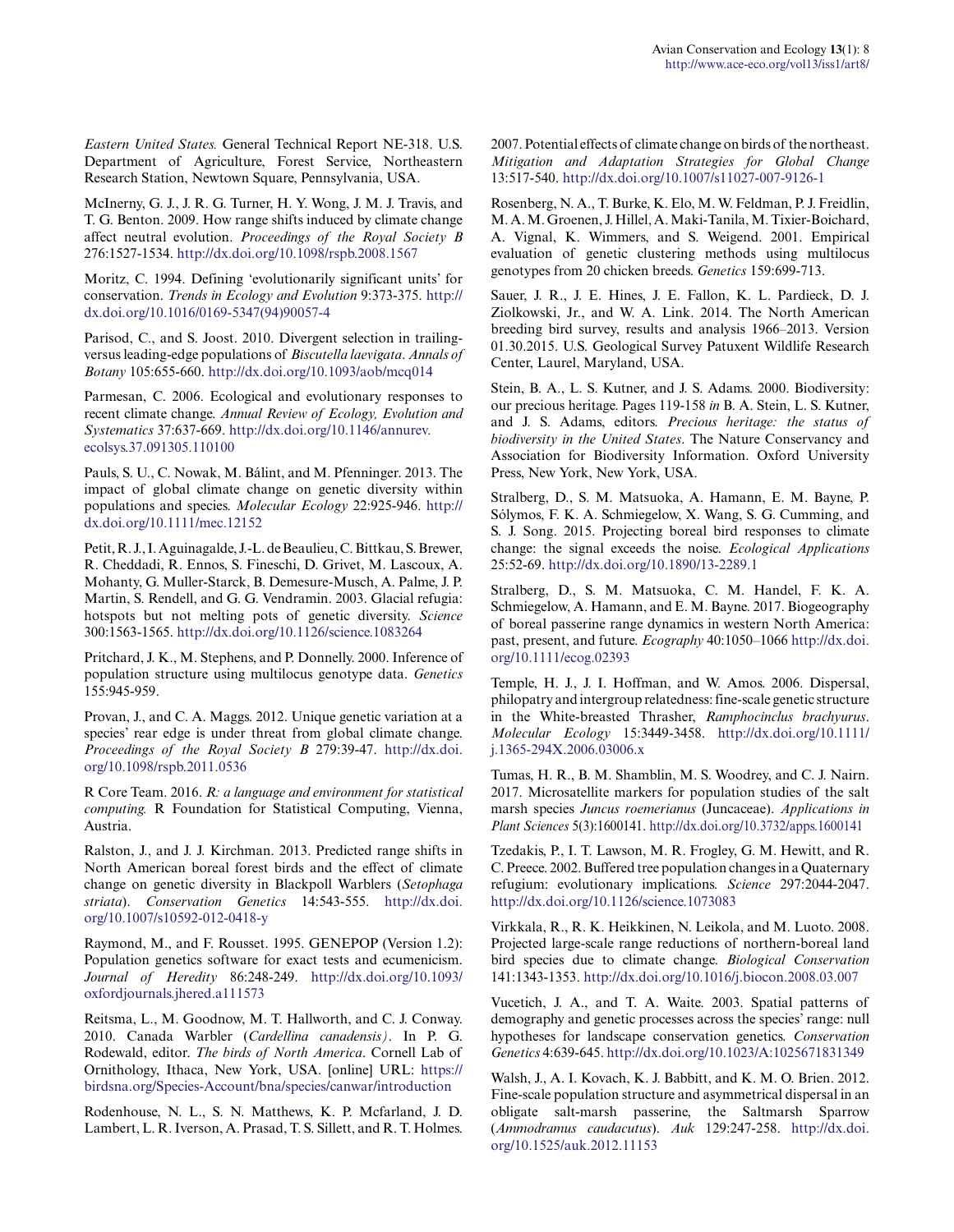*Eastern United States.* General Technical Report NE-318. U.S. Department of Agriculture, Forest Service, Northeastern Research Station, Newtown Square, Pennsylvania, USA.

McInerny, G. J., J. R. G. Turner, H. Y. Wong, J. M. J. Travis, and T. G. Benton. 2009. How range shifts induced by climate change affect neutral evolution. *Proceedings of the Royal Society B* 276:1527-1534. [http://dx.doi.org/10.1098/rspb.2008.1567](http://dx.doi.org/10.1098%2Frspb.2008.1567)

Moritz, C. 1994. Defining 'evolutionarily significant units' for conservation. *Trends in Ecology and Evolution* 9:373-375. [http://](http://dx.doi.org/10.1016%2F0169-5347%2894%2990057-4) [dx.doi.org/10.1016/0169-5347\(94\)90057-4](http://dx.doi.org/10.1016%2F0169-5347%2894%2990057-4) 

Parisod, C., and S. Joost. 2010. Divergent selection in trailingversus leading-edge populations of *Biscutella laevigata*. *Annals of Botany* 105:655-660. [http://dx.doi.org/10.1093/aob/mcq014](http://dx.doi.org/10.1093%2Faob%2Fmcq014) 

Parmesan, C. 2006. Ecological and evolutionary responses to recent climate change. *Annual Review of Ecology, Evolution and Systematics* 37:637-669. [http://dx.doi.org/10.1146/annurev.](http://dx.doi.org/10.1146%2Fannurev.ecolsys.37.091305.110100) [ecolsys.37.091305.110100](http://dx.doi.org/10.1146%2Fannurev.ecolsys.37.091305.110100)

Pauls, S. U., C. Nowak, M. Bálint, and M. Pfenninger. 2013. The impact of global climate change on genetic diversity within populations and species. *Molecular Ecology* 22:925-946. [http://](http://dx.doi.org/10.1111%2Fmec.12152) [dx.doi.org/10.1111/mec.12152](http://dx.doi.org/10.1111%2Fmec.12152)

Petit, R. J., I. Aguinagalde, J.-L. de Beaulieu, C. Bittkau, S. Brewer, R. Cheddadi, R. Ennos, S. Fineschi, D. Grivet, M. Lascoux, A. Mohanty, G. Muller-Starck, B. Demesure-Musch, A. Palme, J. P. Martin, S. Rendell, and G. G. Vendramin. 2003. Glacial refugia: hotspots but not melting pots of genetic diversity. *Science* 300:1563-1565. [http://dx.doi.org/10.1126/science.1083264](http://dx.doi.org/10.1126%2Fscience.1083264)

Pritchard, J. K., M. Stephens, and P. Donnelly. 2000. Inference of population structure using multilocus genotype data. *Genetics* 155:945-959.

Provan, J., and C. A. Maggs. 2012. Unique genetic variation at a species' rear edge is under threat from global climate change. *Proceedings of the Royal Society B* 279:39-47. [http://dx.doi.](http://dx.doi.org/10.1098%2Frspb.2011.0536) [org/10.1098/rspb.2011.0536](http://dx.doi.org/10.1098%2Frspb.2011.0536)

R Core Team. 2016. *R: a language and environment for statistical computing.* R Foundation for Statistical Computing, Vienna, Austria.

Ralston, J., and J. J. Kirchman. 2013. Predicted range shifts in North American boreal forest birds and the effect of climate change on genetic diversity in Blackpoll Warblers (*Setophaga striata*). *Conservation Genetics* 14:543-555. [http://dx.doi.](http://dx.doi.org/10.1007%2Fs10592-012-0418-y) [org/10.1007/s10592-012-0418-y](http://dx.doi.org/10.1007%2Fs10592-012-0418-y)

Raymond, M., and F. Rousset. 1995. GENEPOP (Version 1.2): Population genetics software for exact tests and ecumenicism. *Journal of Heredity* 86:248-249. [http://dx.doi.org/10.1093/](http://dx.doi.org/10.1093%2Foxfordjournals.jhered.a111573) [oxfordjournals.jhered.a111573](http://dx.doi.org/10.1093%2Foxfordjournals.jhered.a111573) 

Reitsma, L., M. Goodnow, M. T. Hallworth, and C. J. Conway. 2010. Canada Warbler (*Cardellina canadensis)*. In P. G. Rodewald, editor. *The birds of North America*. Cornell Lab of Ornithology, Ithaca, New York, USA. [online] URL: [https://](https://birdsna.org/Species-Account/bna/species/canwar/introduction) [birdsna.org/Species-Account/bna/species/canwar/introduction](https://birdsna.org/Species-Account/bna/species/canwar/introduction) 

Rodenhouse, N. L., S. N. Matthews, K. P. Mcfarland, J. D. Lambert, L. R. Iverson, A. Prasad, T. S. Sillett, and R. T. Holmes. 2007. Potential effects of climate change on birds of the northeast. *Mitigation and Adaptation Strategies for Global Change* 13:517-540. [http://dx.doi.org/10.1007/s11027-007-9126-1](http://dx.doi.org/10.1007%2Fs11027-007-9126-1)

Rosenberg, N. A., T. Burke, K. Elo, M. W. Feldman, P. J. Freidlin, M. A. M. Groenen, J. Hillel, A. Maki-Tanila, M. Tixier-Boichard, A. Vignal, K. Wimmers, and S. Weigend. 2001. Empirical evaluation of genetic clustering methods using multilocus genotypes from 20 chicken breeds. *Genetics* 159:699-713.

Sauer, J. R., J. E. Hines, J. E. Fallon, K. L. Pardieck, D. J. Ziolkowski, Jr., and W. A. Link. 2014. The North American breeding bird survey, results and analysis 1966–2013. Version 01.30.2015. U.S. Geological Survey Patuxent Wildlife Research Center, Laurel, Maryland, USA.

Stein, B. A., L. S. Kutner, and J. S. Adams. 2000. Biodiversity: our precious heritage. Pages 119-158 *in* B. A. Stein, L. S. Kutner, and J. S. Adams, editors. *Precious heritage: the status of biodiversity in the United States*. The Nature Conservancy and Association for Biodiversity Information. Oxford University Press, New York, New York, USA.

Stralberg, D., S. M. Matsuoka, A. Hamann, E. M. Bayne, P. Sólymos, F. K. A. Schmiegelow, X. Wang, S. G. Cumming, and S. J. Song. 2015. Projecting boreal bird responses to climate change: the signal exceeds the noise. *Ecological Applications* 25:52-69. [http://dx.doi.org/10.1890/13-2289.1](http://dx.doi.org/10.1890%2F13-2289.1)

Stralberg, D., S. M. Matsuoka, C. M. Handel, F. K. A. Schmiegelow, A. Hamann, and E. M. Bayne. 2017. Biogeography of boreal passerine range dynamics in western North America: past, present, and future. *Ecography* 40:1050–1066 [http://dx.doi.](http://dx.doi.org/10.1111/ecog.02393) [org/10.1111/ecog.02393](http://dx.doi.org/10.1111/ecog.02393)

Temple, H. J., J. I. Hoffman, and W. Amos. 2006. Dispersal, philopatry and intergroup relatedness: fine-scale genetic structure in the White-breasted Thrasher, *Ramphocinclus brachyurus*. *Molecular Ecology* 15:3449-3458. [http://dx.doi.org/10.1111/](http://dx.doi.org/10.1111%2Fj.1365-294X.2006.03006.x) [j.1365-294X.2006.03006.x](http://dx.doi.org/10.1111%2Fj.1365-294X.2006.03006.x) 

Tumas, H. R., B. M. Shamblin, M. S. Woodrey, and C. J. Nairn. 2017. Microsatellite markers for population studies of the salt marsh species *Juncus roemerianus* (Juncaceae). *Applications in Plant Sciences* 5(3):1600141. [http://dx.doi.org/10.3732/apps.1600141](http://dx.doi.org/10.3732%2Fapps.1600141) 

Tzedakis, P., I. T. Lawson, M. R. Frogley, G. M. Hewitt, and R. C. Preece. 2002. Buffered tree population changes in a Quaternary refugium: evolutionary implications. *Science* 297:2044-2047. [http://dx.doi.org/10.1126/science.1073083](http://dx.doi.org/10.1126%2Fscience.1073083)

Virkkala, R., R. K. Heikkinen, N. Leikola, and M. Luoto. 2008. Projected large-scale range reductions of northern-boreal land bird species due to climate change. *Biological Conservation* 141:1343-1353. [http://dx.doi.org/10.1016/j.biocon.2008.03.007](http://dx.doi.org/10.1016%2Fj.biocon.2008.03.007) 

Vucetich, J. A., and T. A. Waite. 2003. Spatial patterns of demography and genetic processes across the species' range: null hypotheses for landscape conservation genetics. *Conservation Genetics* 4:639-645. [http://dx.doi.org/10.1023/A:1025671831349](http://dx.doi.org/10.1023%2FA%3A1025671831349) 

Walsh, J., A. I. Kovach, K. J. Babbitt, and K. M. O. Brien. 2012. Fine-scale population structure and asymmetrical dispersal in an obligate salt-marsh passerine, the Saltmarsh Sparrow (*Ammodramus caudacutus*). *Auk* 129:247-258. [http://dx.doi.](http://dx.doi.org/10.1525%2Fauk.2012.11153) [org/10.1525/auk.2012.11153](http://dx.doi.org/10.1525%2Fauk.2012.11153)